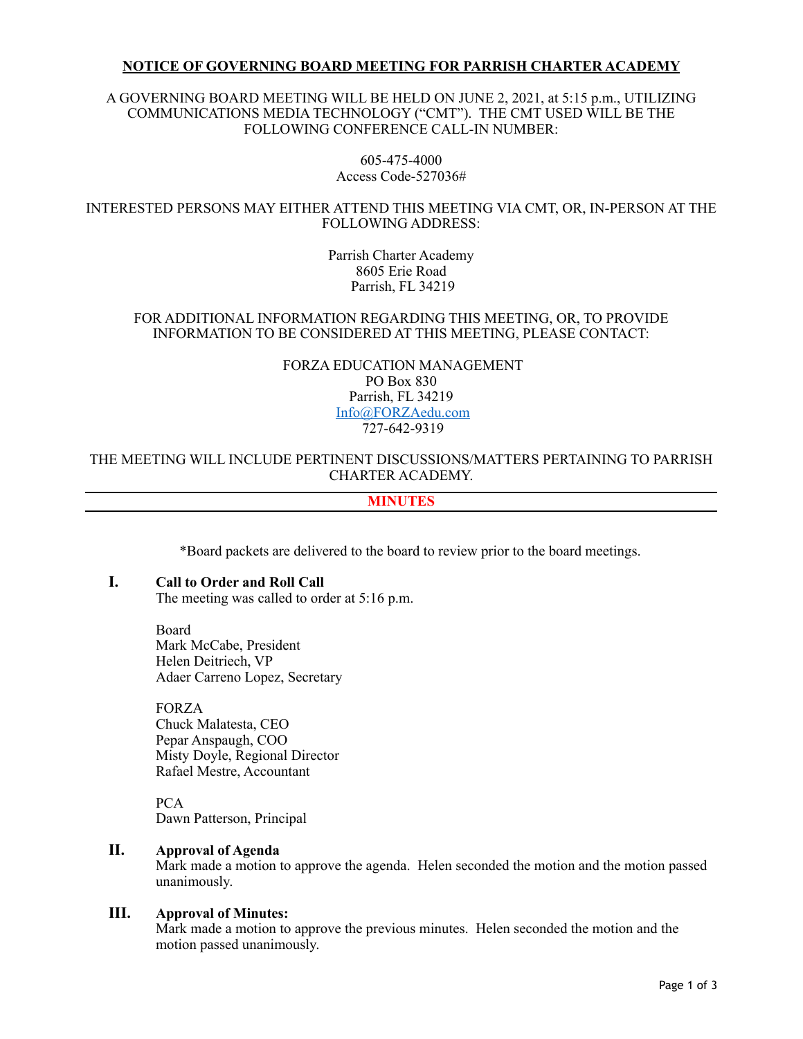### **NOTICE OF GOVERNING BOARD MEETING FOR PARRISH CHARTER ACADEMY**

### A GOVERNING BOARD MEETING WILL BE HELD ON JUNE 2, 2021, at 5:15 p.m., UTILIZING COMMUNICATIONS MEDIA TECHNOLOGY ("CMT"). THE CMT USED WILL BE THE FOLLOWING CONFERENCE CALL-IN NUMBER:

605-475-4000 Access Code-527036#

### INTERESTED PERSONS MAY EITHER ATTEND THIS MEETING VIA CMT, OR, IN-PERSON AT THE FOLLOWING ADDRESS:

Parrish Charter Academy 8605 Erie Road Parrish, FL 34219

### FOR ADDITIONAL INFORMATION REGARDING THIS MEETING, OR, TO PROVIDE INFORMATION TO BE CONSIDERED AT THIS MEETING, PLEASE CONTACT:

### FORZA EDUCATION MANAGEMENT PO Box 830 Parrish, FL 34219 [Info@FORZAedu.com](mailto:Info@FORZAedu.com) 727-642-9319

### THE MEETING WILL INCLUDE PERTINENT DISCUSSIONS/MATTERS PERTAINING TO PARRISH CHARTER ACADEMY.

## **MINUTES**

\*Board packets are delivered to the board to review prior to the board meetings.

#### **I. Call to Order and Roll Call**

The meeting was called to order at 5:16 p.m.

Board Mark McCabe, President Helen Deitriech, VP Adaer Carreno Lopez, Secretary

FORZA Chuck Malatesta, CEO Pepar Anspaugh, COO Misty Doyle, Regional Director Rafael Mestre, Accountant

PCA Dawn Patterson, Principal

## **II. Approval of Agenda**

Mark made a motion to approve the agenda. Helen seconded the motion and the motion passed unanimously.

### **III. Approval of Minutes:**

Mark made a motion to approve the previous minutes. Helen seconded the motion and the motion passed unanimously.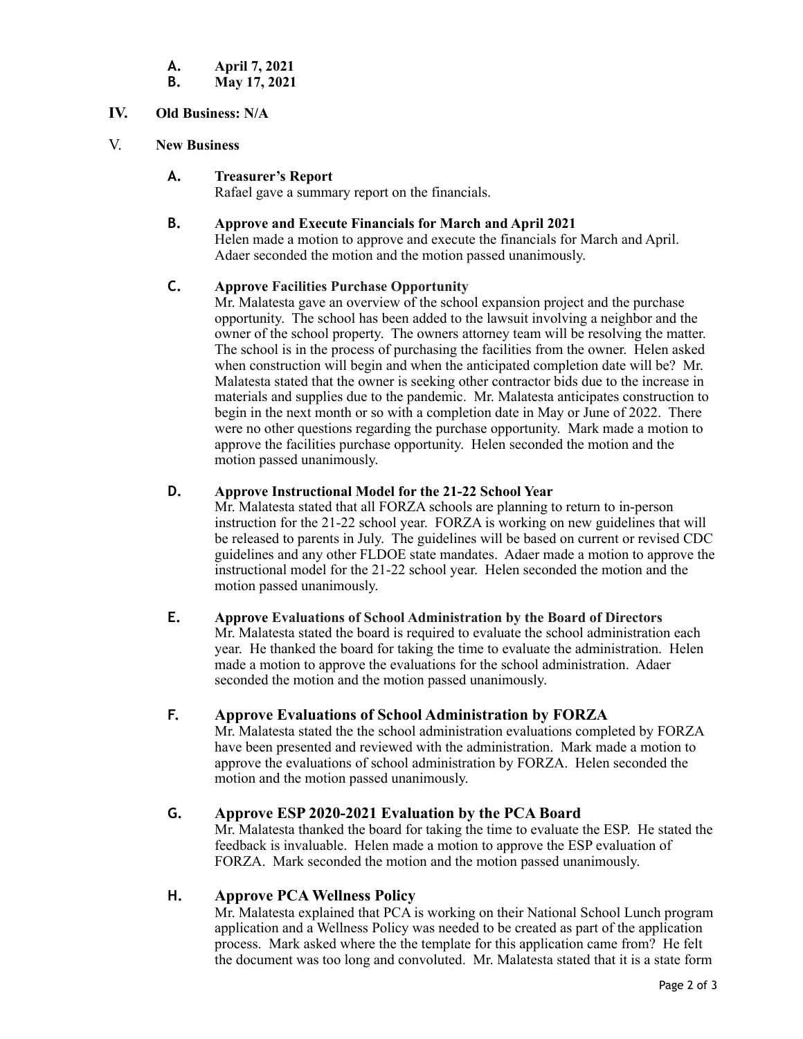- **A. April 7, 2021**
- **B. May 17, 2021**
- **IV. Old Business: N/A**
- V. **New Business**

# **A. Treasurer's Report**

Rafael gave a summary report on the financials.

## **B. Approve and Execute Financials for March and April 2021**

Helen made a motion to approve and execute the financials for March and April. Adaer seconded the motion and the motion passed unanimously.

## **C. Approve Facilities Purchase Opportunity**

Mr. Malatesta gave an overview of the school expansion project and the purchase opportunity. The school has been added to the lawsuit involving a neighbor and the owner of the school property. The owners attorney team will be resolving the matter. The school is in the process of purchasing the facilities from the owner. Helen asked when construction will begin and when the anticipated completion date will be? Mr. Malatesta stated that the owner is seeking other contractor bids due to the increase in materials and supplies due to the pandemic. Mr. Malatesta anticipates construction to begin in the next month or so with a completion date in May or June of 2022. There were no other questions regarding the purchase opportunity. Mark made a motion to approve the facilities purchase opportunity. Helen seconded the motion and the motion passed unanimously.

# **D. Approve Instructional Model for the 21-22 School Year**

Mr. Malatesta stated that all FORZA schools are planning to return to in-person instruction for the 21-22 school year. FORZA is working on new guidelines that will be released to parents in July. The guidelines will be based on current or revised CDC guidelines and any other FLDOE state mandates. Adaer made a motion to approve the instructional model for the 21-22 school year. Helen seconded the motion and the motion passed unanimously.

**E. Approve Evaluations of School Administration by the Board of Directors** Mr. Malatesta stated the board is required to evaluate the school administration each year. He thanked the board for taking the time to evaluate the administration. Helen made a motion to approve the evaluations for the school administration. Adaer seconded the motion and the motion passed unanimously.

# **F. Approve Evaluations of School Administration by FORZA**

Mr. Malatesta stated the the school administration evaluations completed by FORZA have been presented and reviewed with the administration. Mark made a motion to approve the evaluations of school administration by FORZA. Helen seconded the motion and the motion passed unanimously.

# **G. Approve ESP 2020-2021 Evaluation by the PCA Board**

Mr. Malatesta thanked the board for taking the time to evaluate the ESP. He stated the feedback is invaluable. Helen made a motion to approve the ESP evaluation of FORZA. Mark seconded the motion and the motion passed unanimously.

# **H. Approve PCA Wellness Policy**

Mr. Malatesta explained that PCA is working on their National School Lunch program application and a Wellness Policy was needed to be created as part of the application process. Mark asked where the the template for this application came from? He felt the document was too long and convoluted. Mr. Malatesta stated that it is a state form